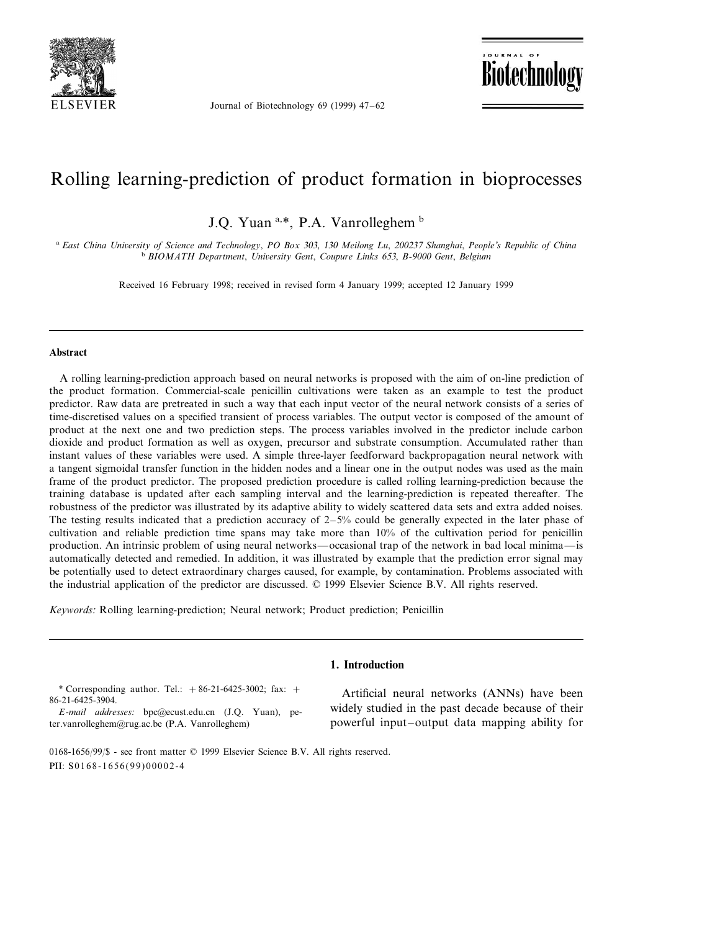

Journal of Biotechnology 69 (1999) 47–62

**Biotechnology** 

# Rolling learning-prediction of product formation in bioprocesses

J.Q. Yuan a,\*, P.A. Vanrolleghem b

<sup>a</sup> *East China Uni*6*ersity of Science and Technology*, *PO Box* <sup>303</sup>, <sup>130</sup> *Meilong Lu*, <sup>200237</sup> *Shanghai*, *People*'*s Republic of China* <sup>b</sup> *BIOMATH Department*, *Uni*6*ersity Gent*, *Coupure Links* <sup>653</sup>, *B*-<sup>9000</sup> *Gent*, *Belgium*

Received 16 February 1998; received in revised form 4 January 1999; accepted 12 January 1999

#### **Abstract**

A rolling learning-prediction approach based on neural networks is proposed with the aim of on-line prediction of the product formation. Commercial-scale penicillin cultivations were taken as an example to test the product predictor. Raw data are pretreated in such a way that each input vector of the neural network consists of a series of time-discretised values on a specified transient of process variables. The output vector is composed of the amount of product at the next one and two prediction steps. The process variables involved in the predictor include carbon dioxide and product formation as well as oxygen, precursor and substrate consumption. Accumulated rather than instant values of these variables were used. A simple three-layer feedforward backpropagation neural network with a tangent sigmoidal transfer function in the hidden nodes and a linear one in the output nodes was used as the main frame of the product predictor. The proposed prediction procedure is called rolling learning-prediction because the training database is updated after each sampling interval and the learning-prediction is repeated thereafter. The robustness of the predictor was illustrated by its adaptive ability to widely scattered data sets and extra added noises. The testing results indicated that a prediction accuracy of  $2-5%$  could be generally expected in the later phase of cultivation and reliable prediction time spans may take more than 10% of the cultivation period for penicillin production. An intrinsic problem of using neural networks—occasional trap of the network in bad local minima—is automatically detected and remedied. In addition, it was illustrated by example that the prediction error signal may be potentially used to detect extraordinary charges caused, for example, by contamination. Problems associated with the industrial application of the predictor are discussed. © 1999 Elsevier Science B.V. All rights reserved.

**1. Introduction**

*Keywords*: Rolling learning-prediction; Neural network; Product prediction; Penicillin

\* Corresponding author. Tel.:  $+86-21-6425-3002$ ; fax:  $+$ 86-21-6425-3904.

*E*-*mail addresses*: bpc@ecust.edu.cn (J.Q. Yuan), peter.vanrolleghem@rug.ac.be (P.A. Vanrolleghem)

### 0168-1656/99/\$ - see front matter © 1999 Elsevier Science B.V. All rights reserved. PII: S0168-1656(99)00002-4

Artificial neural networks (ANNs) have been widely studied in the past decade because of their powerful input–output data mapping ability for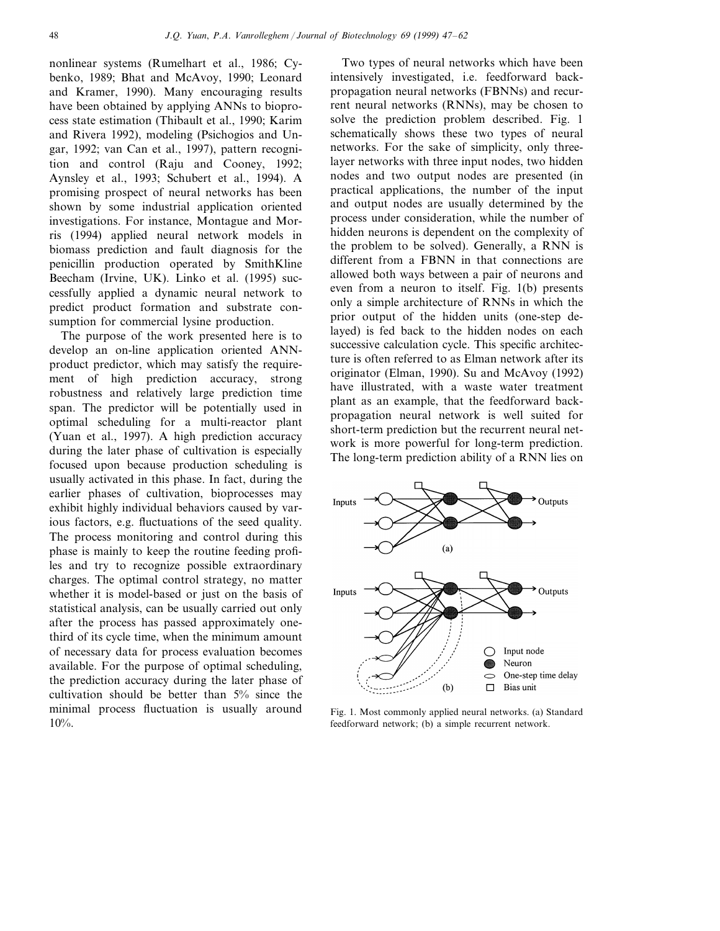nonlinear systems (Rumelhart et al., 1986; Cybenko, 1989; Bhat and McAvoy, 1990; Leonard and Kramer, 1990). Many encouraging results have been obtained by applying ANNs to bioprocess state estimation (Thibault et al., 1990; Karim and Rivera 1992), modeling (Psichogios and Ungar, 1992; van Can et al., 1997), pattern recognition and control (Raju and Cooney, 1992; Aynsley et al., 1993; Schubert et al., 1994). A promising prospect of neural networks has been shown by some industrial application oriented investigations. For instance, Montague and Morris (1994) applied neural network models in biomass prediction and fault diagnosis for the penicillin production operated by SmithKline Beecham (Irvine, UK). Linko et al. (1995) successfully applied a dynamic neural network to predict product formation and substrate consumption for commercial lysine production.

The purpose of the work presented here is to develop an on-line application oriented ANNproduct predictor, which may satisfy the requirement of high prediction accuracy, strong robustness and relatively large prediction time span. The predictor will be potentially used in optimal scheduling for a multi-reactor plant (Yuan et al., 1997). A high prediction accuracy during the later phase of cultivation is especially focused upon because production scheduling is usually activated in this phase. In fact, during the earlier phases of cultivation, bioprocesses may exhibit highly individual behaviors caused by various factors, e.g. fluctuations of the seed quality. The process monitoring and control during this phase is mainly to keep the routine feeding profiles and try to recognize possible extraordinary charges. The optimal control strategy, no matter whether it is model-based or just on the basis of statistical analysis, can be usually carried out only after the process has passed approximately onethird of its cycle time, when the minimum amount of necessary data for process evaluation becomes available. For the purpose of optimal scheduling, the prediction accuracy during the later phase of cultivation should be better than 5% since the minimal process fluctuation is usually around 10%.

Two types of neural networks which have been intensively investigated, i.e. feedforward backpropagation neural networks (FBNNs) and recurrent neural networks (RNNs), may be chosen to solve the prediction problem described. Fig. 1 schematically shows these two types of neural networks. For the sake of simplicity, only threelayer networks with three input nodes, two hidden nodes and two output nodes are presented (in practical applications, the number of the input and output nodes are usually determined by the process under consideration, while the number of hidden neurons is dependent on the complexity of the problem to be solved). Generally, a RNN is different from a FBNN in that connections are allowed both ways between a pair of neurons and even from a neuron to itself. Fig. 1(b) presents only a simple architecture of RNNs in which the prior output of the hidden units (one-step delayed) is fed back to the hidden nodes on each successive calculation cycle. This specific architecture is often referred to as Elman network after its originator (Elman, 1990). Su and McAvoy (1992) have illustrated, with a waste water treatment plant as an example, that the feedforward backpropagation neural network is well suited for short-term prediction but the recurrent neural network is more powerful for long-term prediction. The long-term prediction ability of a RNN lies on



Fig. 1. Most commonly applied neural networks. (a) Standard feedforward network; (b) a simple recurrent network.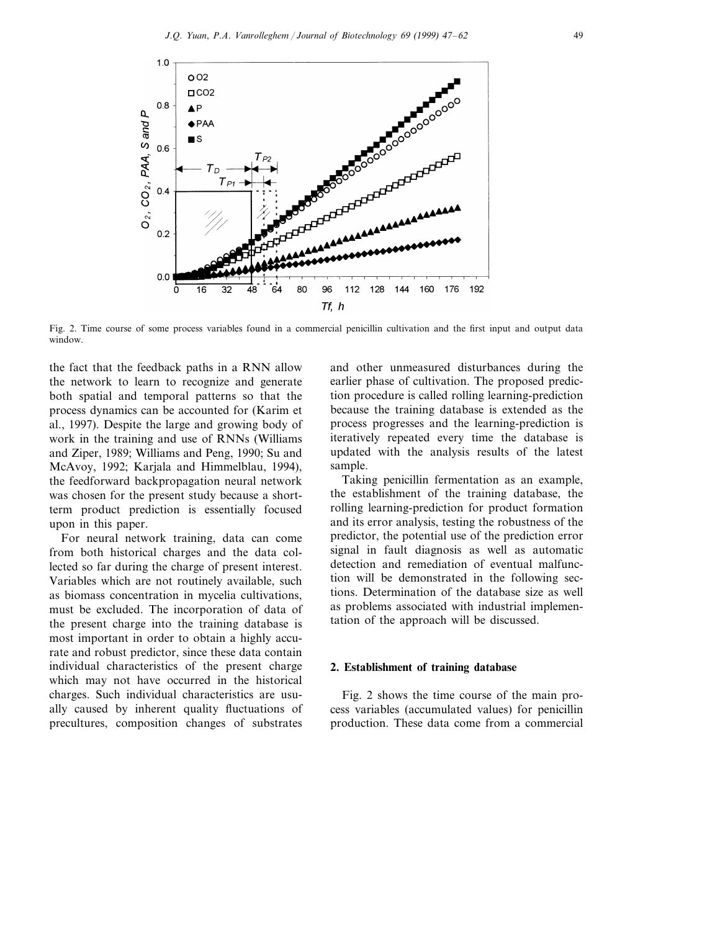

Fig. 2. Time course of some process variables found in a commercial penicillin cultivation and the first input and output data window.

the fact that the feedback paths in a RNN allow the network to learn to recognize and generate both spatial and temporal patterns so that the process dynamics can be accounted for (Karim et al., 1997). Despite the large and growing body of work in the training and use of RNNs (Williams and Ziper, 1989; Williams and Peng, 1990; Su and McAvoy, 1992; Karjala and Himmelblau, 1994), the feedforward backpropagation neural network was chosen for the present study because a shortterm product prediction is essentially focused upon in this paper.

For neural network training, data can come from both historical charges and the data collected so far during the charge of present interest. Variables which are not routinely available, such as biomass concentration in mycelia cultivations, must be excluded. The incorporation of data of the present charge into the training database is most important in order to obtain a highly accurate and robust predictor, since these data contain individual characteristics of the present charge which may not have occurred in the historical charges. Such individual characteristics are usually caused by inherent quality fluctuations of precultures, composition changes of substrates

and other unmeasured disturbances during the earlier phase of cultivation. The proposed prediction procedure is called rolling learning-prediction because the training database is extended as the process progresses and the learning-prediction is iteratively repeated every time the database is updated with the analysis results of the latest sample.

Taking penicillin fermentation as an example, the establishment of the training database, the rolling learning-prediction for product formation and its error analysis, testing the robustness of the predictor, the potential use of the prediction error signal in fault diagnosis as well as automatic detection and remediation of eventual malfunction will be demonstrated in the following sections. Determination of the database size as well as problems associated with industrial implementation of the approach will be discussed.

#### **2. Establishment of training database**

Fig. 2 shows the time course of the main process variables (accumulated values) for penicillin production. These data come from a commercial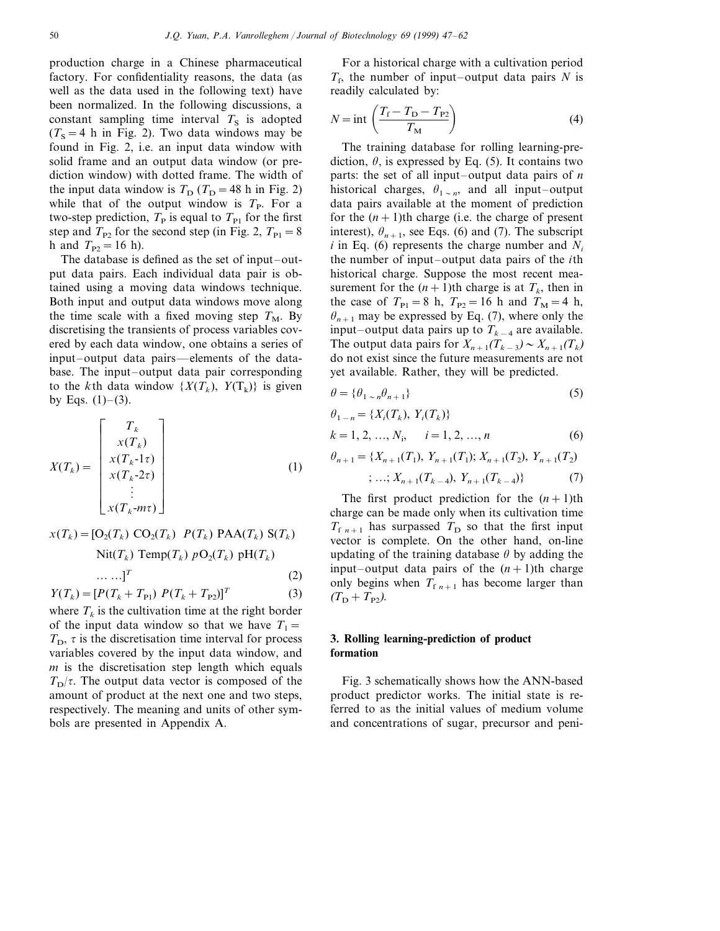production charge in a Chinese pharmaceutical factory. For confidentiality reasons, the data (as well as the data used in the following text) have been normalized. In the following discussions, a constant sampling time interval  $T<sub>S</sub>$  is adopted  $(T<sub>S</sub>=4 h$  in Fig. 2). Two data windows may be found in Fig. 2, i.e. an input data window with solid frame and an output data window (or prediction window) with dotted frame. The width of the input data window is  $T_D$  ( $T_D$  = 48 h in Fig. 2) while that of the output window is  $T<sub>P</sub>$ . For a two-step prediction,  $T_P$  is equal to  $T_{P1}$  for the first step and  $T_{P2}$  for the second step (in Fig. 2,  $T_{P1}=8$ h and  $T_{P2} = 16$  h).

The database is defined as the set of input–output data pairs. Each individual data pair is obtained using a moving data windows technique. Both input and output data windows move along the time scale with a fixed moving step  $T_M$ . By discretising the transients of process variables covered by each data window, one obtains a series of input–output data pairs—elements of the database. The input–output data pair corresponding to the *k*th data window  $\{X(T_k), Y(T_k)\}$  is given by Eqs.  $(1)$ – $(3)$ .

$$
X(T_k) = \begin{bmatrix} T_k \\ x(T_k) \\ x(T_{k-1}\tau) \\ x(T_k-2\tau) \\ \vdots \\ x(T_k-m\tau) \end{bmatrix}
$$
 (1)

$$
x(T_k) = [O_2(T_k) \text{ CO}_2(T_k) P(T_k) \text{ PAA}(T_k) S(T_k)
$$
  
 
$$
\text{Nit}(T_k) \text{Temp}(T_k) pO_2(T_k) pH(T_k)
$$
  
 
$$
\dots \dots]^T
$$
 (2)

$$
Y(T_k) = [P(T_k + T_{P1}) P(T_k + T_{P2})]^T
$$
\n(3)

where  $T_k$  is the cultivation time at the right border of the input data window so that we have  $T_1=$  $T<sub>D</sub>$ ,  $\tau$  is the discretisation time interval for process variables covered by the input data window, and *m* is the discretisation step length which equals  $T<sub>D</sub>/\tau$ . The output data vector is composed of the amount of product at the next one and two steps, respectively. The meaning and units of other symbols are presented in Appendix A.

For a historical charge with a cultivation period  $T_f$ , the number of input–output data pairs *N* is readily calculated by:

$$
N = \text{int}\left(\frac{T_{\text{f}} - T_{\text{D}} - T_{\text{P2}}}{T_{\text{M}}}\right)
$$
(4)

The training database for rolling learning-prediction,  $\theta$ , is expressed by Eq. (5). It contains two parts: the set of all input–output data pairs of *n* historical charges,  $\theta_{1 \sim n}$ , and all input–output data pairs available at the moment of prediction for the  $(n+1)$ th charge (i.e. the charge of present interest),  $\theta_{n+1}$ , see Eqs. (6) and (7). The subscript  $i$  in Eq. (6) represents the charge number and  $N_i$ the number of input–output data pairs of the *i*th historical charge. Suppose the most recent measurement for the  $(n+1)$ th charge is at  $T_k$ , then in the case of  $T_{\text{Pl}}=8$  h,  $T_{\text{P2}}=16$  h and  $T_{\text{M}}=4$  h,  $\theta_{n+1}$  may be expressed by Eq. (7), where only the input–output data pairs up to *Tk*−<sup>4</sup> are available. The output data pairs for  $X_{n+1}(T_{k-3}) \sim X_{n+1}(T_k)$ do not exist since the future measurements are not yet available. Rather, they will be predicted.

$$
\theta = \{\theta_{1 \sim n}\theta_{n+1}\}\tag{5}
$$

$$
\theta_{1-n} = \{X_i(T_k), Y_i(T_k)\}
$$
  
\n
$$
k = 1, 2, ..., N_i, \quad i = 1, 2, ..., n
$$
 (6)  
\n
$$
\theta_{n+1} = \{X_{n+1}(T_1), Y_{n+1}(T_1); X_{n+1}(T_2), Y_{n+1}(T_2)\}
$$

$$
; \ldots; X_{n+1}(T_{k-4}), Y_{n+1}(T_{k-4})\} \tag{7}
$$

The first product prediction for the  $(n+1)$ th charge can be made only when its cultivation time  $T_{f,n+1}$  has surpassed  $T_D$  so that the first input vector is complete. On the other hand, on-line updating of the training database  $\theta$  by adding the input–output data pairs of the  $(n+1)$ th charge only begins when  $T_{f,n+1}$  has become larger than  $(T_D + T_{P2})$ .

### **3. Rolling learning-prediction of product formation**

Fig. 3 schematically shows how the ANN-based product predictor works. The initial state is referred to as the initial values of medium volume and concentrations of sugar, precursor and peni-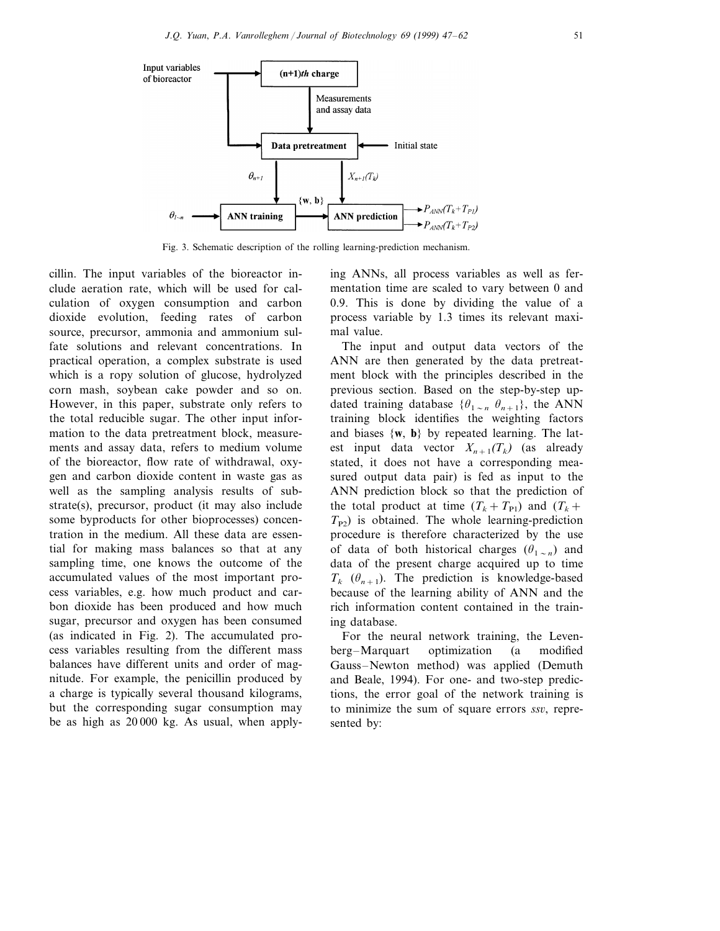

Fig. 3. Schematic description of the rolling learning-prediction mechanism.

cillin. The input variables of the bioreactor include aeration rate, which will be used for calculation of oxygen consumption and carbon dioxide evolution, feeding rates of carbon source, precursor, ammonia and ammonium sulfate solutions and relevant concentrations. In practical operation, a complex substrate is used which is a ropy solution of glucose, hydrolyzed corn mash, soybean cake powder and so on. However, in this paper, substrate only refers to the total reducible sugar. The other input information to the data pretreatment block, measurements and assay data, refers to medium volume of the bioreactor, flow rate of withdrawal, oxygen and carbon dioxide content in waste gas as well as the sampling analysis results of substrate(s), precursor, product (it may also include some byproducts for other bioprocesses) concentration in the medium. All these data are essential for making mass balances so that at any sampling time, one knows the outcome of the accumulated values of the most important process variables, e.g. how much product and carbon dioxide has been produced and how much sugar, precursor and oxygen has been consumed (as indicated in Fig. 2). The accumulated process variables resulting from the different mass balances have different units and order of magnitude. For example, the penicillin produced by a charge is typically several thousand kilograms, but the corresponding sugar consumption may be as high as 20 000 kg. As usual, when applying ANNs, all process variables as well as fermentation time are scaled to vary between 0 and 0.9. This is done by dividing the value of a process variable by 1.3 times its relevant maximal value.

The input and output data vectors of the ANN are then generated by the data pretreatment block with the principles described in the previous section. Based on the step-by-step updated training database  $\{\theta_{1 \sim n} \ \theta_{n+1}\}$ , the ANN training block identifies the weighting factors and biases {**w**, **b**} by repeated learning. The latest input data vector  $X_{n+1}(T_k)$  (as already stated, it does not have a corresponding measured output data pair) is fed as input to the ANN prediction block so that the prediction of the total product at time  $(T_k + T_{\text{Pl}})$  and  $(T_k +$  $T_{P2}$ ) is obtained. The whole learning-prediction procedure is therefore characterized by the use of data of both historical charges  $(\theta_{1 \sim n})$  and data of the present charge acquired up to time  $T_k$  ( $\theta_{n+1}$ ). The prediction is knowledge-based because of the learning ability of ANN and the rich information content contained in the training database.

For the neural network training, the Levenberg–Marquart optimization (a modified Gauss–Newton method) was applied (Demuth and Beale, 1994). For one- and two-step predictions, the error goal of the network training is to minimize the sum of square errors *ssv*, represented by: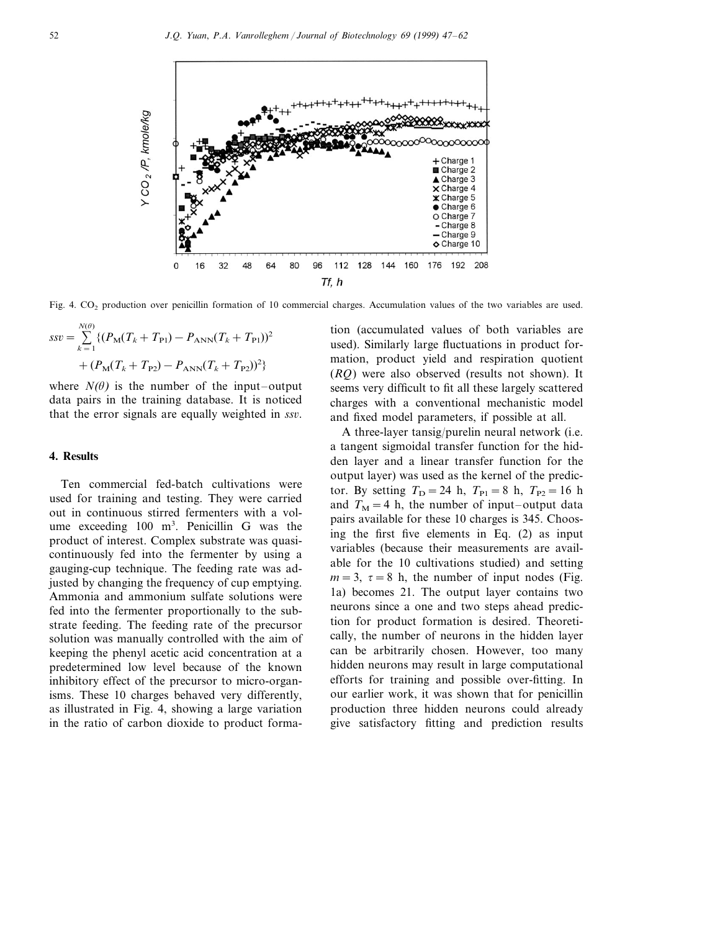

Fig. 4. CO<sub>2</sub> production over penicillin formation of 10 commercial charges. Accumulation values of the two variables are used.

$$
ssv = \sum_{k=1}^{N(\theta)} \{ (P_M(T_k + T_{\text{Pl}}) - P_{\text{ANN}}(T_k + T_{\text{Pl}}))^2 + (P_M(T_k + T_{\text{Pl}}) - P_{\text{ANN}}(T_k + T_{\text{Pl}}))^2 \}
$$

where  $N(\theta)$  is the number of the input–output data pairs in the training database. It is noticed that the error signals are equally weighted in *ssv*.

## **4. Results**

Ten commercial fed-batch cultivations were used for training and testing. They were carried out in continuous stirred fermenters with a volume exceeding 100 m<sup>3</sup>. Penicillin G was the product of interest. Complex substrate was quasicontinuously fed into the fermenter by using a gauging-cup technique. The feeding rate was adjusted by changing the frequency of cup emptying. Ammonia and ammonium sulfate solutions were fed into the fermenter proportionally to the substrate feeding. The feeding rate of the precursor solution was manually controlled with the aim of keeping the phenyl acetic acid concentration at a predetermined low level because of the known inhibitory effect of the precursor to micro-organisms. These 10 charges behaved very differently, as illustrated in Fig. 4, showing a large variation in the ratio of carbon dioxide to product formation (accumulated values of both variables are used). Similarly large fluctuations in product formation, product yield and respiration quotient (*RQ*) were also observed (results not shown). It seems very difficult to fit all these largely scattered charges with a conventional mechanistic model and fixed model parameters, if possible at all.

A three-layer tansig/purelin neural network (i.e. a tangent sigmoidal transfer function for the hidden layer and a linear transfer function for the output layer) was used as the kernel of the predictor. By setting  $T_D = 24$  h,  $T_{P1} = 8$  h,  $T_{P2} = 16$  h and  $T_M=4$  h, the number of input–output data pairs available for these 10 charges is 345. Choosing the first five elements in Eq. (2) as input variables (because their measurements are available for the 10 cultivations studied) and setting  $m=3$ ,  $\tau=8$  h, the number of input nodes (Fig. 1a) becomes 21. The output layer contains two neurons since a one and two steps ahead prediction for product formation is desired. Theoretically, the number of neurons in the hidden layer can be arbitrarily chosen. However, too many hidden neurons may result in large computational efforts for training and possible over-fitting. In our earlier work, it was shown that for penicillin production three hidden neurons could already give satisfactory fitting and prediction results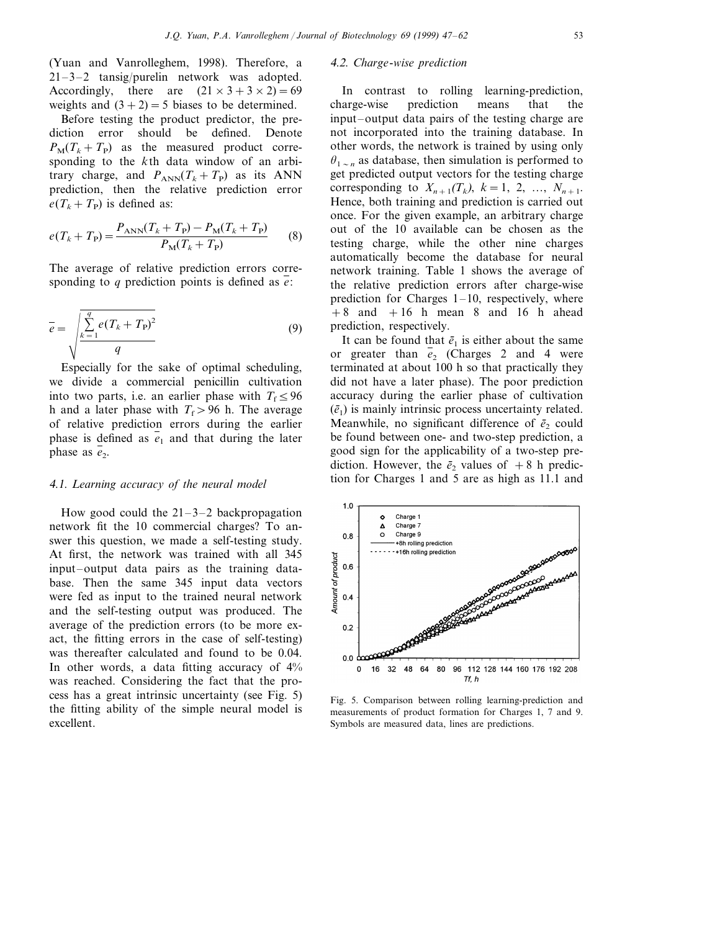(Yuan and Vanrolleghem, 1998). Therefore, a 21–3–2 tansig/purelin network was adopted. Accordingly, there are  $(21 \times 3 + 3 \times 2) = 69$ weights and  $(3+2)=5$  biases to be determined.

Before testing the product predictor, the prediction error should be defined. Denote  $P_M(T_k + T_p)$  as the measured product corresponding to the *k*th data window of an arbitrary charge, and  $P_{ANN}(T_k + T_p)$  as its ANN prediction, then the relative prediction error  $e(T_k + T_P)$  is defined as:

$$
e(T_k + T_p) = \frac{P_{\text{ANN}}(T_k + T_p) - P_{\text{M}}(T_k + T_p)}{P_{\text{M}}(T_k + T_p)}
$$
(8)

The average of relative prediction errors corresponding to *q* prediction points is defined as *e*:

$$
\bar{e} = \sqrt{\frac{\sum_{k=1}^{q} e(T_k + T_{\rm P})^2}{q}}
$$
(9)

Especially for the sake of optimal scheduling, we divide a commercial penicillin cultivation into two parts, i.e. an earlier phase with  $T_f \leq 96$ h and a later phase with  $T_f > 96$  h. The average of relative prediction errors during the earlier phase is defined as  $\overline{e_1}$  and that during the later phase as  $e_2$ .

#### <sup>4</sup>.1. *Learning accuracy of the neural model*

How good could the  $21-3-2$  backpropagation network fit the 10 commercial charges? To answer this question, we made a self-testing study. At first, the network was trained with all 345 input–output data pairs as the training database. Then the same 345 input data vectors were fed as input to the trained neural network and the self-testing output was produced. The average of the prediction errors (to be more exact, the fitting errors in the case of self-testing) was thereafter calculated and found to be 0.04. In other words, a data fitting accuracy of  $4\%$ was reached. Considering the fact that the process has a great intrinsic uncertainty (see Fig. 5) the fitting ability of the simple neural model is excellent.

#### <sup>4</sup>.2. *Charge*-*wise prediction*

In contrast to rolling learning-prediction, charge-wise prediction means that the input–output data pairs of the testing charge are not incorporated into the training database. In other words, the network is trained by using only  $\theta_{1 \sim n}$  as database, then simulation is performed to get predicted output vectors for the testing charge corresponding to  $X_{n+1}(T_k)$ ,  $k = 1, 2, ..., N_{n+1}$ . Hence, both training and prediction is carried out once. For the given example, an arbitrary charge out of the 10 available can be chosen as the testing charge, while the other nine charges automatically become the database for neural network training. Table 1 shows the average of the relative prediction errors after charge-wise prediction for Charges  $1-10$ , respectively, where  $+8$  and  $+16$  h mean 8 and 16 h ahead prediction, respectively.

It can be found that  $\bar{e}_1$  is either about the same or greater than  $\overline{e}_2$  (Charges 2 and 4 were terminated at about 100 h so that practically they did not have a later phase). The poor prediction accuracy during the earlier phase of cultivation  $(\bar{e}_1)$  is mainly intrinsic process uncertainty related. Meanwhile, no significant difference of  $\bar{e}_2$  could be found between one- and two-step prediction, a good sign for the applicability of a two-step prediction. However, the  $\bar{e}_2$  values of  $+8$  h prediction for Charges 1 and 5 are as high as 11.1 and



Fig. 5. Comparison between rolling learning-prediction and measurements of product formation for Charges 1, 7 and 9. Symbols are measured data, lines are predictions.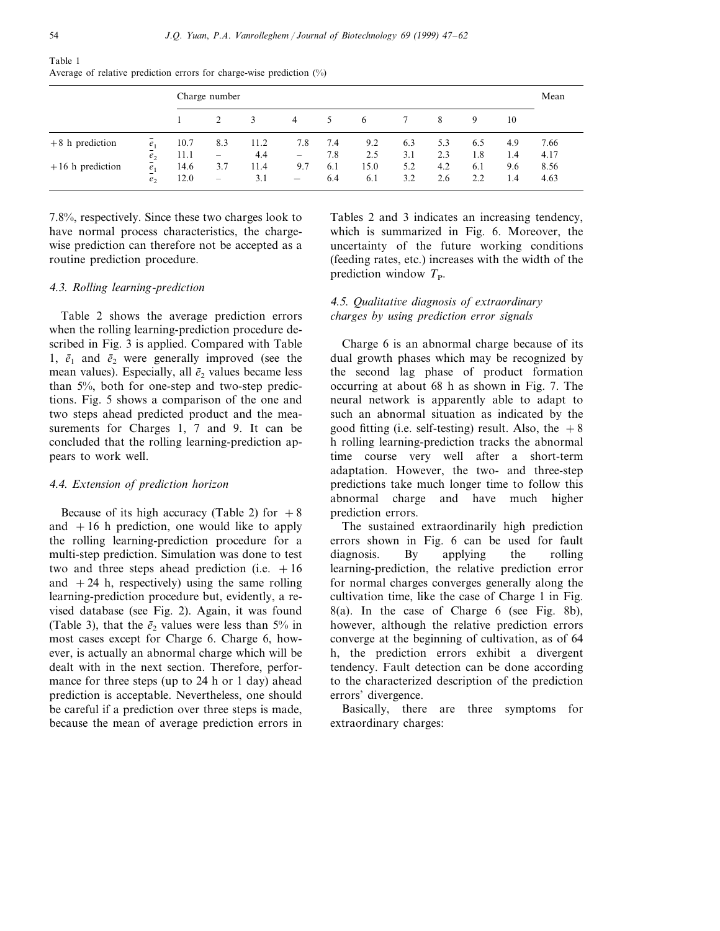|                    |                   | Charge number |                          |      |                          |     |      |     |     |     |     | Mean |
|--------------------|-------------------|---------------|--------------------------|------|--------------------------|-----|------|-----|-----|-----|-----|------|
|                    |                   |               |                          | 3    | 4                        | 5.  | 6    |     | 8   | 9   | 10  |      |
| $+8$ h prediction  | $\frac{e_1}{e_1}$ | 10.7          | 8.3                      | 11.2 | 7.8                      | 7.4 | 9.2  | 6.3 | 5.3 | 6.5 | 4.9 | 7.66 |
|                    | $\underline{e}_2$ | 11.1          |                          | 4.4  | $\qquad \qquad -$        | 7.8 | 2.5  | 3.1 | 2.3 | 1.8 | 1.4 | 4.17 |
| $+16$ h prediction | e <sub>1</sub>    | 14.6          | 3.7                      | 11.4 | 9.7                      | 6.1 | 15.0 | 5.2 | 4.2 | 6.1 | 9.6 | 8.56 |
|                    | e <sub>2</sub>    | 12.0          | $\overline{\phantom{0}}$ | 3.1  | $\overline{\phantom{m}}$ | 6.4 | 6.1  | 3.2 | 2.6 | 2.2 | 1.4 | 4.63 |

Table 1 Average of relative prediction errors for charge-wise prediction (%)

7.8%, respectively. Since these two charges look to have normal process characteristics, the chargewise prediction can therefore not be accepted as a routine prediction procedure.

## <sup>4</sup>.3. *Rolling learning*-*prediction*

Table 2 shows the average prediction errors when the rolling learning-prediction procedure described in Fig. 3 is applied. Compared with Table 1,  $\bar{e}_1$  and  $\bar{e}_2$  were generally improved (see the mean values). Especially, all  $\bar{e}_2$  values became less than 5%, both for one-step and two-step predictions. Fig. 5 shows a comparison of the one and two steps ahead predicted product and the measurements for Charges 1, 7 and 9. It can be concluded that the rolling learning-prediction appears to work well.

#### <sup>4</sup>.4. *Extension of prediction horizon*

Because of its high accuracy (Table 2) for  $+8$ and  $+16$  h prediction, one would like to apply the rolling learning-prediction procedure for a multi-step prediction. Simulation was done to test two and three steps ahead prediction (i.e.  $+16$ and  $+24$  h, respectively) using the same rolling learning-prediction procedure but, evidently, a revised database (see Fig. 2). Again, it was found (Table 3), that the  $\bar{e}_2$  values were less than 5% in most cases except for Charge 6. Charge 6, however, is actually an abnormal charge which will be dealt with in the next section. Therefore, performance for three steps (up to 24 h or 1 day) ahead prediction is acceptable. Nevertheless, one should be careful if a prediction over three steps is made, because the mean of average prediction errors in

Tables 2 and 3 indicates an increasing tendency, which is summarized in Fig. 6. Moreover, the uncertainty of the future working conditions (feeding rates, etc.) increases with the width of the prediction window  $T_{\rm P}$ .

## 4.5. Qualitative diagnosis of extraordinary *charges by using prediction error signals*

Charge 6 is an abnormal charge because of its dual growth phases which may be recognized by the second lag phase of product formation occurring at about 68 h as shown in Fig. 7. The neural network is apparently able to adapt to such an abnormal situation as indicated by the good fitting (i.e. self-testing) result. Also, the  $+8$ h rolling learning-prediction tracks the abnormal time course very well after a short-term adaptation. However, the two- and three-step predictions take much longer time to follow this abnormal charge and have much higher prediction errors.

The sustained extraordinarily high prediction errors shown in Fig. 6 can be used for fault diagnosis. By applying the rolling learning-prediction, the relative prediction error for normal charges converges generally along the cultivation time, like the case of Charge 1 in Fig. 8(a). In the case of Charge 6 (see Fig. 8b), however, although the relative prediction errors converge at the beginning of cultivation, as of 64 h, the prediction errors exhibit a divergent tendency. Fault detection can be done according to the characterized description of the prediction errors' divergence.

Basically, there are three symptoms for extraordinary charges: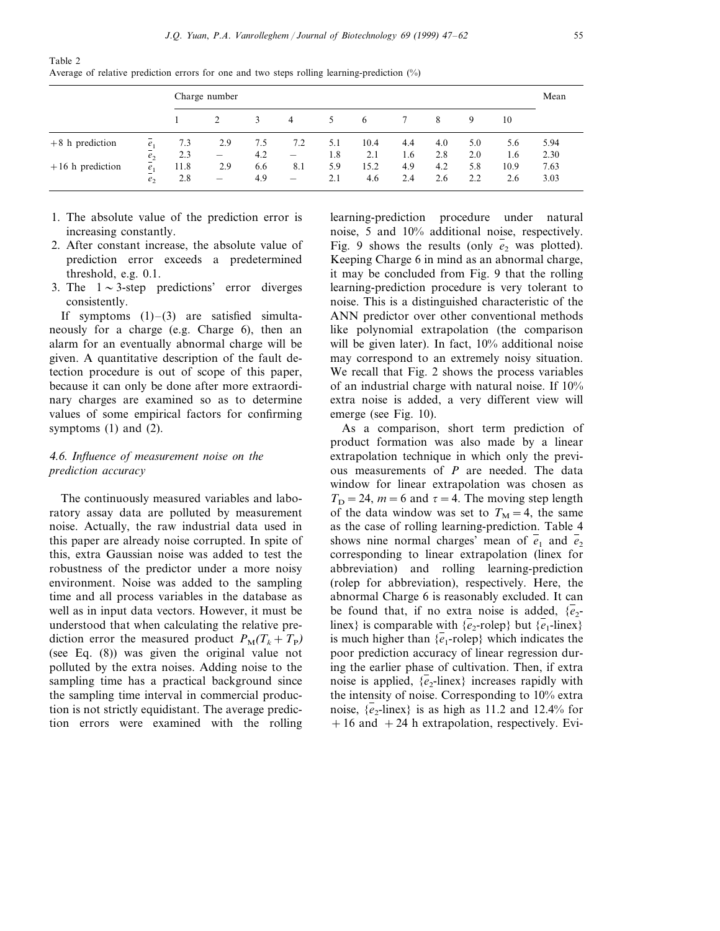|                    |                   | Charge number |                          |     |                          |               |      |     |     |     |      | Mean |
|--------------------|-------------------|---------------|--------------------------|-----|--------------------------|---------------|------|-----|-----|-----|------|------|
|                    |                   |               |                          | 3   | $\overline{4}$           | $\mathcal{L}$ | 6    |     | 8   | 9   | 10   |      |
| $+8$ h prediction  | e <sub>1</sub>    | 7.3           | 2.9                      | 7.5 | 7.2                      | 5.1           | 10.4 | 4.4 | 4.0 | 5.0 | 5.6  | 5.94 |
|                    | $\underline{e}_2$ | 2.3           | $\overline{\phantom{m}}$ | 4.2 | $\overline{\phantom{m}}$ | 1.8           | 2.1  | 1.6 | 2.8 | 2.0 | 1.6  | 2.30 |
| $+16$ h prediction | $\frac{e_1}{e_1}$ | 11.8          | 2.9                      | 6.6 | 8.1                      | 5.9           | 15.2 | 4.9 | 4.2 | 5.8 | 10.9 | 7.63 |
|                    | e <sub>2</sub>    | 2.8           | —                        | 4.9 | $\overline{\phantom{m}}$ | 2.1           | 4.6  | 2.4 | 2.6 | 2.2 | 2.6  | 3.03 |

Table 2 Average of relative prediction errors for one and two steps rolling learning-prediction (%)

- 1. The absolute value of the prediction error is increasing constantly.
- 2. After constant increase, the absolute value of prediction error exceeds a predetermined threshold, e.g. 0.1.
- 3. The  $1 \sim 3$ -step predictions' error diverges consistently.

If symptoms  $(1)$ – $(3)$  are satisfied simultaneously for a charge (e.g. Charge 6), then an alarm for an eventually abnormal charge will be given. A quantitative description of the fault detection procedure is out of scope of this paper, because it can only be done after more extraordinary charges are examined so as to determine values of some empirical factors for confirming symptoms  $(1)$  and  $(2)$ .

# <sup>4</sup>.6. *Influence of measurement noise on the prediction accuracy*

The continuously measured variables and laboratory assay data are polluted by measurement noise. Actually, the raw industrial data used in this paper are already noise corrupted. In spite of this, extra Gaussian noise was added to test the robustness of the predictor under a more noisy environment. Noise was added to the sampling time and all process variables in the database as well as in input data vectors. However, it must be understood that when calculating the relative prediction error the measured product  $P_M(T_k + T_p)$ (see Eq. (8)) was given the original value not polluted by the extra noises. Adding noise to the sampling time has a practical background since the sampling time interval in commercial production is not strictly equidistant. The average prediction errors were examined with the rolling learning-prediction procedure under natural noise, 5 and 10% additional noise, respectively. Fig. 9 shows the results (only  $e_2$  was plotted). Keeping Charge 6 in mind as an abnormal charge, it may be concluded from Fig. 9 that the rolling learning-prediction procedure is very tolerant to noise. This is a distinguished characteristic of the ANN predictor over other conventional methods like polynomial extrapolation (the comparison will be given later). In fact, 10% additional noise may correspond to an extremely noisy situation. We recall that Fig. 2 shows the process variables of an industrial charge with natural noise. If 10% extra noise is added, a very different view will emerge (see Fig. 10).

As a comparison, short term prediction of product formation was also made by a linear extrapolation technique in which only the previous measurements of *P* are needed. The data window for linear extrapolation was chosen as  $T_D = 24$ ,  $m = 6$  and  $\tau = 4$ . The moving step length of the data window was set to  $T<sub>M</sub> = 4$ , the same as the case of rolling learning-prediction. Table 4 shows nine normal charges' mean of  $e_1$  and  $e_2$ corresponding to linear extrapolation (linex for abbreviation) and rolling learning-prediction (rolep for abbreviation), respectively. Here, the abnormal Charge 6 is reasonably excluded. It can be found that, if no extra noise is added,  $\{e_2$ linex} is comparable with  $\{e_2$ -rolep} but  $\{e_1$ -linex} is much higher than  ${e_1$ -rolep} which indicates the poor prediction accuracy of linear regression during the earlier phase of cultivation. Then, if extra noise is applied,  $\{e_2$ -linex} increases rapidly with the intensity of noise. Corresponding to 10% extra noise,  $\{e_2$ -linex} is as high as 11.2 and 12.4% for  $+16$  and  $+24$  h extrapolation, respectively. Evi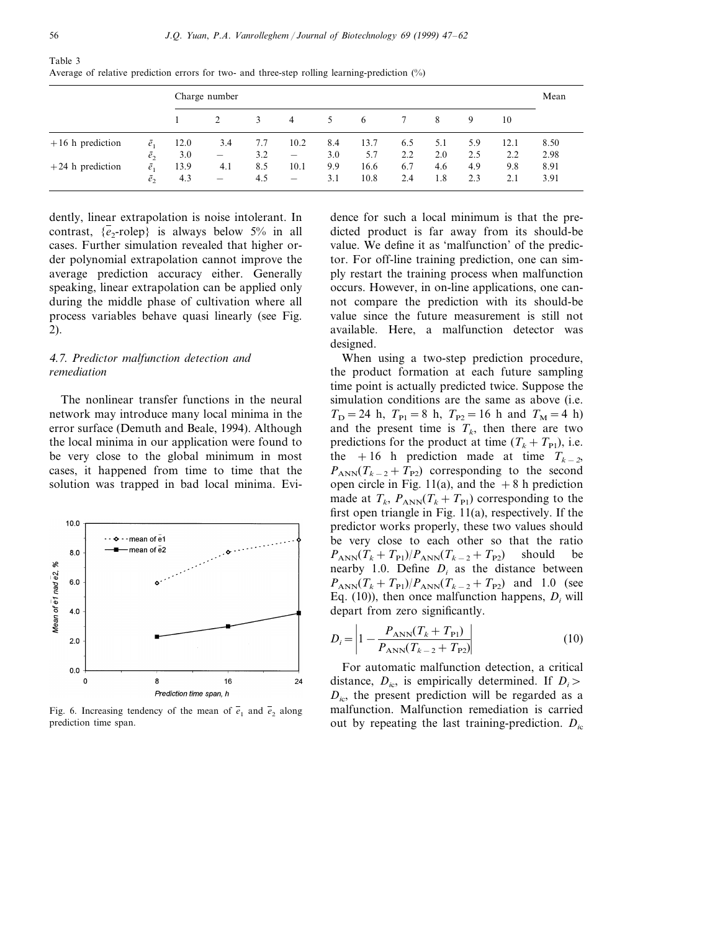Table 3

|                    |             |      | Charge number            |     |                          |     |      |     |     |     |      | Mean |
|--------------------|-------------|------|--------------------------|-----|--------------------------|-----|------|-----|-----|-----|------|------|
|                    |             |      |                          | 3   | $\overline{4}$           | 5   | 6    |     | 8   | 9   | 10   |      |
| $+16$ h prediction | $\bar{e}_1$ | 12.0 | 3.4                      | 7.7 | 10.2                     | 8.4 | 13.7 | 6.5 | 5.1 | 5.9 | 12.1 | 8.50 |
|                    | $\bar{e}_2$ | 3.0  | $\overline{\phantom{m}}$ | 3.2 | $\overline{\phantom{m}}$ | 3.0 | 5.7  | 2.2 | 2.0 | 2.5 | 2.2  | 2.98 |
| $+24$ h prediction | $\bar{e}_1$ | 13.9 | 4.1                      | 8.5 | 10.1                     | 9.9 | 16.6 | 6.7 | 4.6 | 4.9 | 9.8  | 8.91 |
|                    | $\bar{e}_2$ | 4.3  | $\overline{\phantom{m}}$ | 4.5 | $\overline{\phantom{0}}$ | 3.1 | 10.8 | 2.4 | 1.8 | 2.3 | 2.1  | 3.91 |

Average of relative prediction errors for two- and three-step rolling learning-prediction (%)

dently, linear extrapolation is noise intolerant. In contrast,  $\{e_2$ -rolep} is always below 5% in all cases. Further simulation revealed that higher order polynomial extrapolation cannot improve the average prediction accuracy either. Generally speaking, linear extrapolation can be applied only during the middle phase of cultivation where all process variables behave quasi linearly (see Fig. 2).

## <sup>4</sup>.7. *Predictor malfunction detection and remediation*

The nonlinear transfer functions in the neural network may introduce many local minima in the error surface (Demuth and Beale, 1994). Although the local minima in our application were found to be very close to the global minimum in most cases, it happened from time to time that the solution was trapped in bad local minima. Evi-



Fig. 6. Increasing tendency of the mean of  $\overline{e}_1$  and  $\overline{e}_2$  along prediction time span.

dence for such a local minimum is that the predicted product is far away from its should-be value. We define it as 'malfunction' of the predictor. For off-line training prediction, one can simply restart the training process when malfunction occurs. However, in on-line applications, one cannot compare the prediction with its should-be value since the future measurement is still not available. Here, a malfunction detector was designed.

When using a two-step prediction procedure, the product formation at each future sampling time point is actually predicted twice. Suppose the simulation conditions are the same as above (i.e.  $T_D = 24$  h,  $T_{P1} = 8$  h,  $T_{P2} = 16$  h and  $T_M = 4$  h) and the present time is  $T_k$ , then there are two predictions for the product at time  $(T_k + T_{\text{Pl}})$ , i.e. the +16 h prediction made at time  $T_{k-2}$ ,  $P_{\text{ANN}}(T_{k-2}+T_{\text{P2}})$  corresponding to the second open circle in Fig. 11(a), and the  $+8$  h prediction made at  $T_k$ ,  $P_{\text{ANN}}(T_k + T_{\text{Pl}})$  corresponding to the first open triangle in Fig. 11(a), respectively. If the predictor works properly, these two values should be very close to each other so that the ratio  $P_{\text{ANN}}(T_k+T_{\text{Pl}})/P_{\text{ANN}}(T_{k-2}+T_{\text{P2}})$  should be nearby 1.0. Define  $D_i$  as the distance between  $P_{\text{ANN}}(T_k + T_{\text{Pl}})/P_{\text{ANN}}(T_{k-2} + T_{\text{P2}})$  and 1.0 (see Eq.  $(10)$ ), then once malfunction happens,  $D_i$  will depart from zero significantly.

$$
D_i = \left| 1 - \frac{P_{\text{ANN}}(T_k + T_{\text{Pl}})}{P_{\text{ANN}}(T_{k-2} + T_{\text{Pl}})} \right| \tag{10}
$$

For automatic malfunction detection, a critical distance,  $D_{ic}$ , is empirically determined. If  $D_i$ *Di*c, the present prediction will be regarded as a malfunction. Malfunction remediation is carried out by repeating the last training-prediction. *Di*<sup>c</sup>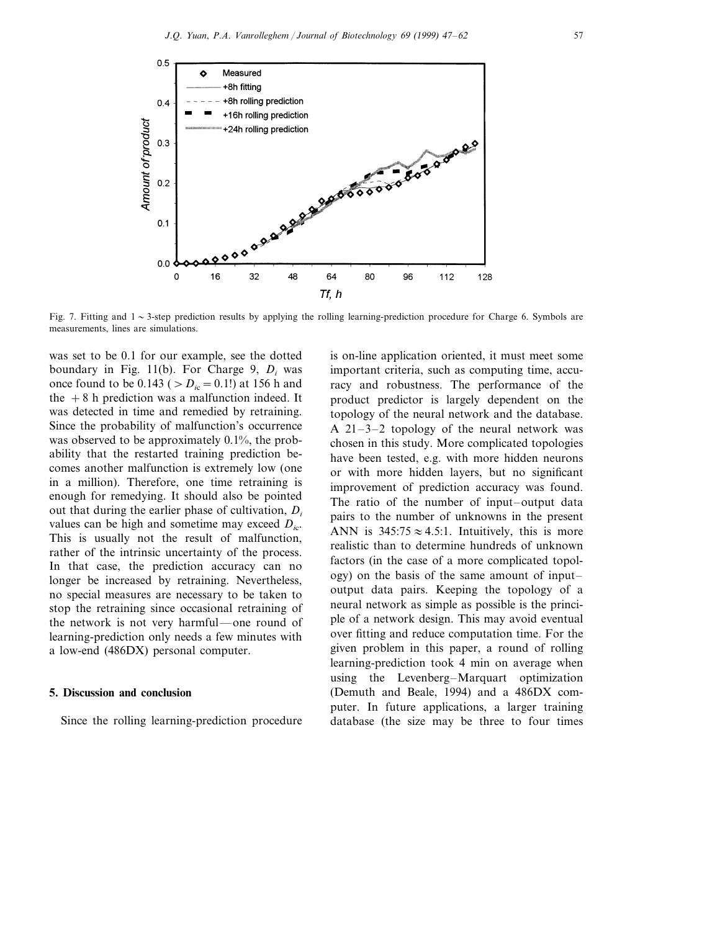

Fig. 7. Fitting and  $1 \sim 3$ -step prediction results by applying the rolling learning-prediction procedure for Charge 6. Symbols are measurements, lines are simulations.

was set to be 0.1 for our example, see the dotted boundary in Fig. 11(b). For Charge 9, *Di* was once found to be  $0.143$  ( $\ge D_{ic}=0.1!$ ) at 156 h and the  $+8$  h prediction was a malfunction indeed. It was detected in time and remedied by retraining. Since the probability of malfunction's occurrence was observed to be approximately 0.1%, the probability that the restarted training prediction becomes another malfunction is extremely low (one in a million). Therefore, one time retraining is enough for remedying. It should also be pointed out that during the earlier phase of cultivation, *Di* values can be high and sometime may exceed  $D_{ic}$ . This is usually not the result of malfunction, rather of the intrinsic uncertainty of the process. In that case, the prediction accuracy can no longer be increased by retraining. Nevertheless, no special measures are necessary to be taken to stop the retraining since occasional retraining of the network is not very harmful—one round of learning-prediction only needs a few minutes with a low-end (486DX) personal computer.

#### **5. Discussion and conclusion**

Since the rolling learning-prediction procedure

is on-line application oriented, it must meet some important criteria, such as computing time, accuracy and robustness. The performance of the product predictor is largely dependent on the topology of the neural network and the database. A 21–3–2 topology of the neural network was chosen in this study. More complicated topologies have been tested, e.g. with more hidden neurons or with more hidden layers, but no significant improvement of prediction accuracy was found. The ratio of the number of input–output data pairs to the number of unknowns in the present ANN is  $345:75 \approx 4.5:1$ . Intuitively, this is more realistic than to determine hundreds of unknown factors (in the case of a more complicated topology) on the basis of the same amount of input– output data pairs. Keeping the topology of a neural network as simple as possible is the principle of a network design. This may avoid eventual over fitting and reduce computation time. For the given problem in this paper, a round of rolling learning-prediction took 4 min on average when using the Levenberg–Marquart optimization (Demuth and Beale, 1994) and a 486DX computer. In future applications, a larger training database (the size may be three to four times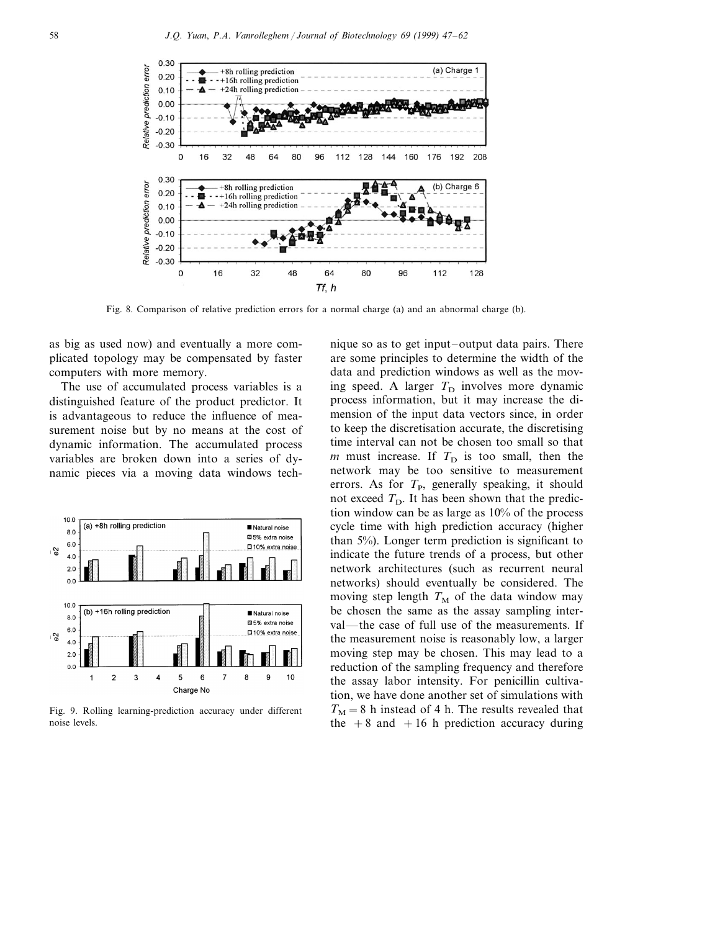

Fig. 8. Comparison of relative prediction errors for a normal charge (a) and an abnormal charge (b).

as big as used now) and eventually a more complicated topology may be compensated by faster computers with more memory.

The use of accumulated process variables is a distinguished feature of the product predictor. It is advantageous to reduce the influence of measurement noise but by no means at the cost of dynamic information. The accumulated process variables are broken down into a series of dynamic pieces via a moving data windows tech-



Fig. 9. Rolling learning-prediction accuracy under different noise levels.

nique so as to get input–output data pairs. There are some principles to determine the width of the data and prediction windows as well as the moving speed. A larger  $T<sub>D</sub>$  involves more dynamic process information, but it may increase the dimension of the input data vectors since, in order to keep the discretisation accurate, the discretising time interval can not be chosen too small so that  $m$  must increase. If  $T<sub>D</sub>$  is too small, then the network may be too sensitive to measurement errors. As for  $T<sub>P</sub>$ , generally speaking, it should not exceed  $T_D$ . It has been shown that the prediction window can be as large as 10% of the process cycle time with high prediction accuracy (higher than 5%). Longer term prediction is significant to indicate the future trends of a process, but other network architectures (such as recurrent neural networks) should eventually be considered. The moving step length  $T_M$  of the data window may be chosen the same as the assay sampling interval—the case of full use of the measurements. If the measurement noise is reasonably low, a larger moving step may be chosen. This may lead to a reduction of the sampling frequency and therefore the assay labor intensity. For penicillin cultivation, we have done another set of simulations with  $T_M=8$  h instead of 4 h. The results revealed that the  $+8$  and  $+16$  h prediction accuracy during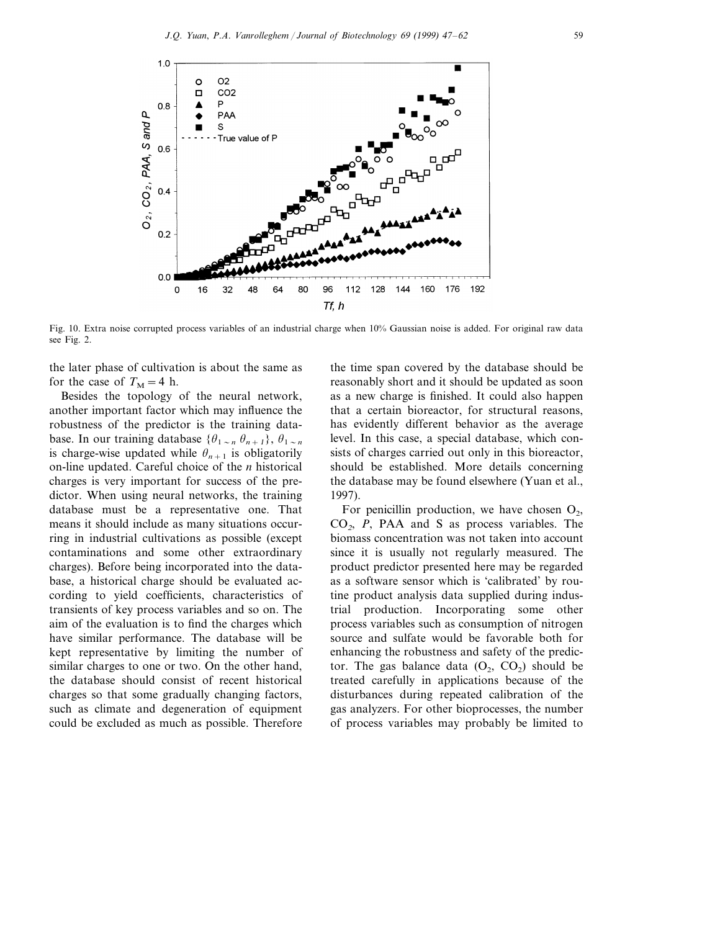

Fig. 10. Extra noise corrupted process variables of an industrial charge when 10% Gaussian noise is added. For original raw data see Fig. 2.

the later phase of cultivation is about the same as for the case of  $T_M=4$  h.

Besides the topology of the neural network, another important factor which may influence the robustness of the predictor is the training database. In our training database  $\{\theta_{1 \sim n} \theta_{n+1}\}, \theta_{1 \sim n}$ is charge-wise updated while  $\theta_{n+1}$  is obligatorily on-line updated. Careful choice of the *n* historical charges is very important for success of the predictor. When using neural networks, the training database must be a representative one. That means it should include as many situations occurring in industrial cultivations as possible (except contaminations and some other extraordinary charges). Before being incorporated into the database, a historical charge should be evaluated according to yield coefficients, characteristics of transients of key process variables and so on. The aim of the evaluation is to find the charges which have similar performance. The database will be kept representative by limiting the number of similar charges to one or two. On the other hand, the database should consist of recent historical charges so that some gradually changing factors, such as climate and degeneration of equipment could be excluded as much as possible. Therefore

the time span covered by the database should be reasonably short and it should be updated as soon as a new charge is finished. It could also happen that a certain bioreactor, for structural reasons, has evidently different behavior as the average level. In this case, a special database, which consists of charges carried out only in this bioreactor, should be established. More details concerning the database may be found elsewhere (Yuan et al., 1997).

For penicillin production, we have chosen  $O_2$ , CO2, *P*, PAA and S as process variables. The biomass concentration was not taken into account since it is usually not regularly measured. The product predictor presented here may be regarded as a software sensor which is 'calibrated' by routine product analysis data supplied during industrial production. Incorporating some other process variables such as consumption of nitrogen source and sulfate would be favorable both for enhancing the robustness and safety of the predictor. The gas balance data  $(O_2, CO_2)$  should be treated carefully in applications because of the disturbances during repeated calibration of the gas analyzers. For other bioprocesses, the number of process variables may probably be limited to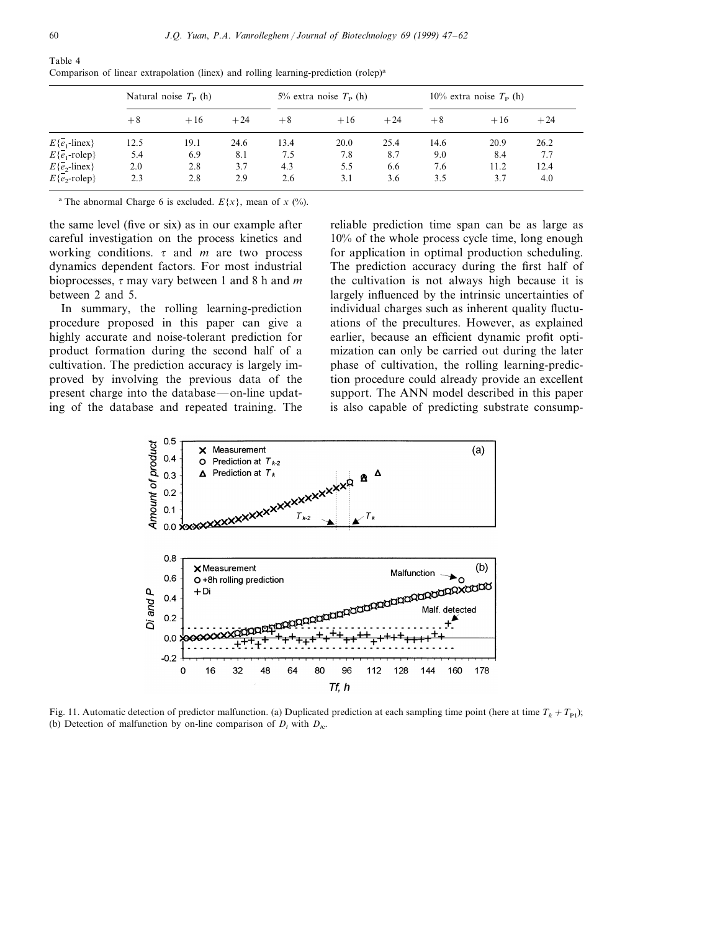|                                    |      | Natural noise $T_{\rm P}$ (h) |       |      | 5% extra noise $T_{\rm P}$ (h) |       | 10% extra noise $T_{\rm P}$ (h) |       |       |  |
|------------------------------------|------|-------------------------------|-------|------|--------------------------------|-------|---------------------------------|-------|-------|--|
|                                    | $+8$ | $+16$                         | $+24$ | $+8$ | $+16$                          | $+24$ | $+8$                            | $+16$ | $+24$ |  |
| $E\{\overline{e_1}\text{-lines}\}$ | 12.5 | 19.1                          | 24.6  | 13.4 | 20.0                           | 25.4  | 14.6                            | 20.9  | 26.2  |  |
| $E\{\overline{e}_1$ -rolep}        | 5.4  | 6.9                           | 8.1   | 7.5  | 7.8                            | 8.7   | 9.0                             | 8.4   | 7.7   |  |
| $E\{e_2$ -linex}                   | 2.0  | 2.8                           | 3.7   | 4.3  | 5.5                            | 6.6   | 7.6                             | 11.2  | 12.4  |  |
| $E\{e, \text{-rolep}\}\$           | 2.3  | 2.8                           | 2.9   | 2.6  | 3.1                            | 3.6   | 3.5                             | 3.7   | 4.0   |  |

Table 4 Comparison of linear extrapolation (linex) and rolling learning-prediction (rolep)<sup>a</sup>

<sup>a</sup> The abnormal Charge 6 is excluded.  $E\{x\}$ , mean of *x* (%).

the same level (five or six) as in our example after careful investigation on the process kinetics and working conditions.  $\tau$  and *m* are two process dynamics dependent factors. For most industrial bioprocesses,  $\tau$  may vary between 1 and 8 h and *m* between 2 and 5.

In summary, the rolling learning-prediction procedure proposed in this paper can give a highly accurate and noise-tolerant prediction for product formation during the second half of a cultivation. The prediction accuracy is largely improved by involving the previous data of the present charge into the database—on-line updating of the database and repeated training. The reliable prediction time span can be as large as 10% of the whole process cycle time, long enough for application in optimal production scheduling. The prediction accuracy during the first half of the cultivation is not always high because it is largely influenced by the intrinsic uncertainties of individual charges such as inherent quality fluctuations of the precultures. However, as explained earlier, because an efficient dynamic profit optimization can only be carried out during the later phase of cultivation, the rolling learning-prediction procedure could already provide an excellent support. The ANN model described in this paper is also capable of predicting substrate consump-



Fig. 11. Automatic detection of predictor malfunction. (a) Duplicated prediction at each sampling time point (here at time  $T_k + T_{p1}$ ); (b) Detection of malfunction by on-line comparison of  $D_i$  with  $D_{i,c}$ .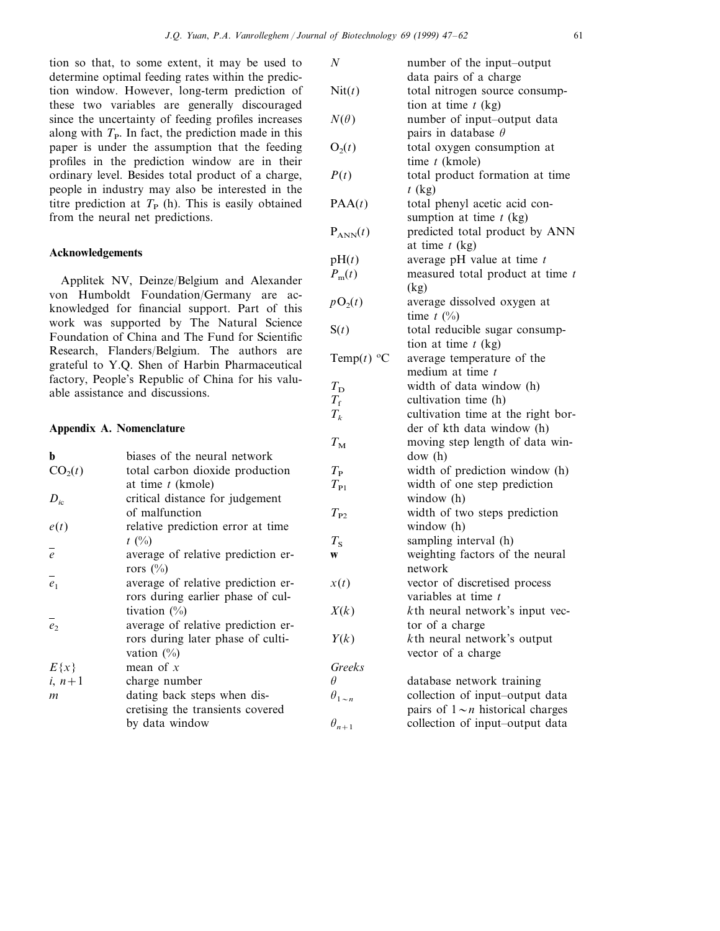tion so that, to some extent, it may be used to determine optimal feeding rates within the prediction window. However, long-term prediction of these two variables are generally discouraged since the uncertainty of feeding profiles increases along with  $T<sub>P</sub>$ . In fact, the prediction made in this paper is under the assumption that the feeding profiles in the prediction window are in their ordinary level. Besides total product of a charge, people in industry may also be interested in the titre prediction at  $T<sub>P</sub>$  (h). This is easily obtained from the neural net predictions.

#### **Acknowledgements**

Applitek NV, Deinze/Belgium and Alexander von Humboldt Foundation/Germany are acknowledged for financial support. Part of this work was supported by The Natural Science Foundation of China and The Fund for Scientific Research, Flanders/Belgium. The authors are grateful to Y.Q. Shen of Harbin Pharmaceutical factory, People's Republic of China for his valuable assistance and discussions.

## **Appendix A. Nomenclature**

| b                   | biases of the neural network       |
|---------------------|------------------------------------|
| CO <sub>2</sub> (t) | total carbon dioxide production    |
|                     | at time t (kmole)                  |
| $D_{ic}$            | critical distance for judgement    |
|                     | of malfunction                     |
| e(t)                | relative prediction error at time  |
|                     | $t \ (\%)$                         |
| $\overline{e}$      | average of relative prediction er- |
|                     | rors $(\%)$                        |
| $e_1$               | average of relative prediction er- |
|                     | rors during earlier phase of cul-  |
|                     | tivation $(\%)$                    |
| $\overline{e}$      | average of relative prediction er- |
|                     | rors during later phase of culti-  |
|                     | vation $(\%)$                      |
| $E\{x\}$            | mean of $x$                        |
| $i, n+1$            | charge number                      |
| m                   | dating back steps when dis-        |
|                     | cretising the transients covered   |
|                     | by data window                     |

| $\it N$             | number of the input-output             |
|---------------------|----------------------------------------|
|                     | data pairs of a charge                 |
| Nit(t)              | total nitrogen source consump-         |
|                     | tion at time $t$ (kg)                  |
| $N(\theta)$         | number of input-output data            |
|                     | pairs in database $\theta$             |
| $O_2(t)$            | total oxygen consumption at            |
|                     | time $t$ (kmole)                       |
| P(t)                | total product formation at time        |
|                     | $t$ (kg)                               |
| PAA(t)              | total phenyl acetic acid con-          |
|                     |                                        |
|                     | sumption at time $t$ (kg)              |
| $P_{ANN}(t)$        | predicted total product by ANN         |
|                     | at time $t$ (kg)                       |
| pH(t)               | average pH value at time $t$           |
| $P_{\rm m}(t)$      | measured total product at time t       |
|                     | (kg)                                   |
| $pO_2(t)$           | average dissolved oxygen at            |
|                     | time $t \ (\%)$                        |
| S(t)                | total reducible sugar consump-         |
|                     | tion at time $t$ (kg)                  |
| Temp $(t)$ °C       | average temperature of the             |
|                     | medium at time t                       |
| $T_{\rm D}$         | width of data window (h)               |
| $T_{\rm f}$         | cultivation time (h)                   |
| $T_k$               | cultivation time at the right bor-     |
|                     | der of kth data window (h)             |
| $T_{\rm M}$         | moving step length of data win-        |
|                     | dow(h)                                 |
|                     |                                        |
| $T_{\rm P}$         | width of prediction window (h)         |
| $T_{\rm P1}$        | width of one step prediction           |
|                     | window (h)                             |
| $T_{P2}$            | width of two steps prediction          |
|                     | window (h)                             |
| $T_{\rm S}$         | sampling interval (h)                  |
| W                   | weighting factors of the neural        |
|                     | network                                |
| x(t)                | vector of discretised process          |
|                     | variables at time t                    |
| X(k)                | $k$ th neural network's input vec-     |
|                     | tor of a charge                        |
| Y(k)                | kth neural network's output            |
|                     | vector of a charge                     |
| Greeks              |                                        |
| Ĥ                   | database network training              |
| $\theta_{1 \sim n}$ | collection of input-output data        |
|                     | pairs of $1 \sim n$ historical charges |
|                     | collection of input-output data        |
| $\theta_{n+1}$      |                                        |